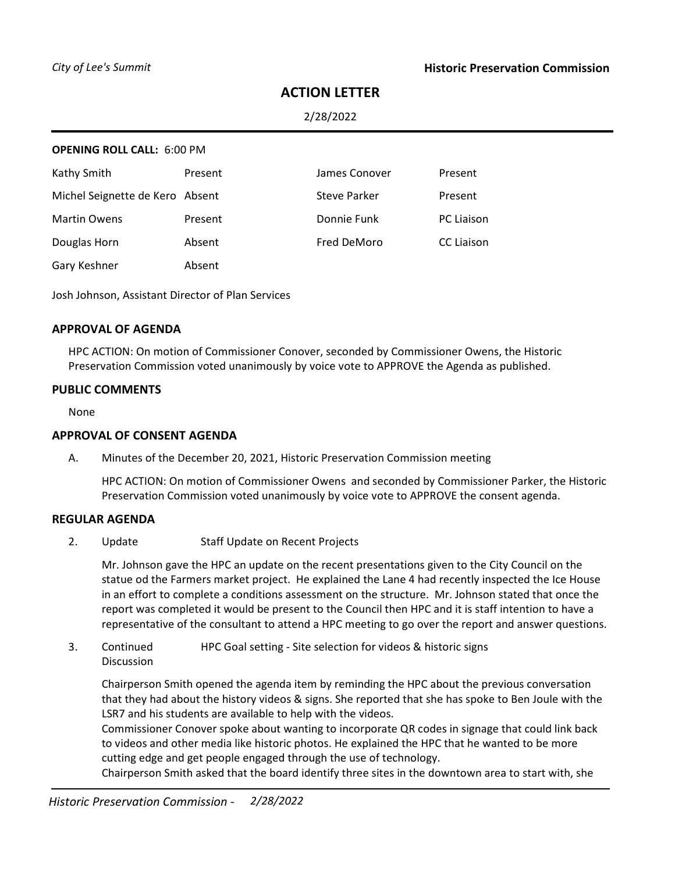# **ACTION LETTER**

2/28/2022

### **OPENING ROLL CALL:** 6:00 PM

| Kathy Smith                     | Present | James Conover       | Present           |
|---------------------------------|---------|---------------------|-------------------|
| Michel Seignette de Kero Absent |         | <b>Steve Parker</b> | Present           |
| <b>Martin Owens</b>             | Present | Donnie Funk         | <b>PC Liaison</b> |
| Douglas Horn                    | Absent  | Fred DeMoro         | <b>CC Liaison</b> |
| Gary Keshner                    | Absent  |                     |                   |

Josh Johnson, Assistant Director of Plan Services

### **APPROVAL OF AGENDA**

HPC ACTION: On motion of Commissioner Conover, seconded by Commissioner Owens, the Historic Preservation Commission voted unanimously by voice vote to APPROVE the Agenda as published.

### **PUBLIC COMMENTS**

None

### **APPROVAL OF CONSENT AGENDA**

A. Minutes of the December 20, 2021, Historic Preservation Commission meeting

HPC ACTION: On motion of Commissioner Owens and seconded by Commissioner Parker, the Historic Preservation Commission voted unanimously by voice vote to APPROVE the consent agenda.

### **REGULAR AGENDA**

2. Update Staff Update on Recent Projects

Mr. Johnson gave the HPC an update on the recent presentations given to the City Council on the statue od the Farmers market project. He explained the Lane 4 had recently inspected the Ice House in an effort to complete a conditions assessment on the structure. Mr. Johnson stated that once the report was completed it would be present to the Council then HPC and it is staff intention to have a representative of the consultant to attend a HPC meeting to go over the report and answer questions.

3. Continued Discussion HPC Goal setting - Site selection for videos & historic signs

Chairperson Smith opened the agenda item by reminding the HPC about the previous conversation that they had about the history videos & signs. She reported that she has spoke to Ben Joule with the LSR7 and his students are available to help with the videos.

Commissioner Conover spoke about wanting to incorporate QR codes in signage that could link back to videos and other media like historic photos. He explained the HPC that he wanted to be more cutting edge and get people engaged through the use of technology.

Chairperson Smith asked that the board identify three sites in the downtown area to start with, she